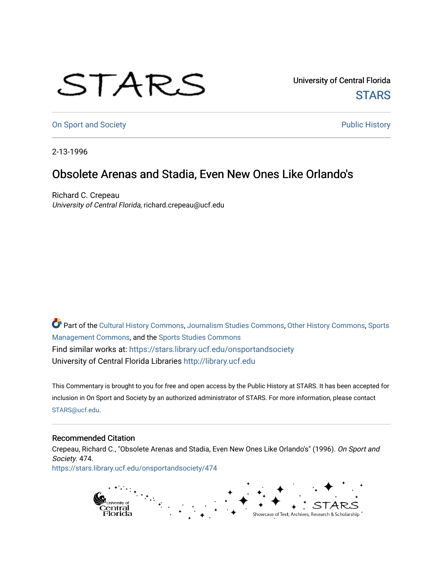## STARS

University of Central Florida **STARS** 

[On Sport and Society](https://stars.library.ucf.edu/onsportandsociety) **Public History** Public History

2-13-1996

## Obsolete Arenas and Stadia, Even New Ones Like Orlando's

Richard C. Crepeau University of Central Florida, richard.crepeau@ucf.edu

Part of the [Cultural History Commons](http://network.bepress.com/hgg/discipline/496?utm_source=stars.library.ucf.edu%2Fonsportandsociety%2F474&utm_medium=PDF&utm_campaign=PDFCoverPages), [Journalism Studies Commons,](http://network.bepress.com/hgg/discipline/333?utm_source=stars.library.ucf.edu%2Fonsportandsociety%2F474&utm_medium=PDF&utm_campaign=PDFCoverPages) [Other History Commons,](http://network.bepress.com/hgg/discipline/508?utm_source=stars.library.ucf.edu%2Fonsportandsociety%2F474&utm_medium=PDF&utm_campaign=PDFCoverPages) [Sports](http://network.bepress.com/hgg/discipline/1193?utm_source=stars.library.ucf.edu%2Fonsportandsociety%2F474&utm_medium=PDF&utm_campaign=PDFCoverPages) [Management Commons](http://network.bepress.com/hgg/discipline/1193?utm_source=stars.library.ucf.edu%2Fonsportandsociety%2F474&utm_medium=PDF&utm_campaign=PDFCoverPages), and the [Sports Studies Commons](http://network.bepress.com/hgg/discipline/1198?utm_source=stars.library.ucf.edu%2Fonsportandsociety%2F474&utm_medium=PDF&utm_campaign=PDFCoverPages) Find similar works at: <https://stars.library.ucf.edu/onsportandsociety> University of Central Florida Libraries [http://library.ucf.edu](http://library.ucf.edu/) 

This Commentary is brought to you for free and open access by the Public History at STARS. It has been accepted for inclusion in On Sport and Society by an authorized administrator of STARS. For more information, please contact [STARS@ucf.edu](mailto:STARS@ucf.edu).

## Recommended Citation

Crepeau, Richard C., "Obsolete Arenas and Stadia, Even New Ones Like Orlando's" (1996). On Sport and Society. 474. [https://stars.library.ucf.edu/onsportandsociety/474](https://stars.library.ucf.edu/onsportandsociety/474?utm_source=stars.library.ucf.edu%2Fonsportandsociety%2F474&utm_medium=PDF&utm_campaign=PDFCoverPages)

> ranasiya<br>Central<br>Florida Showcase of Text, Archives, Research & Scholarship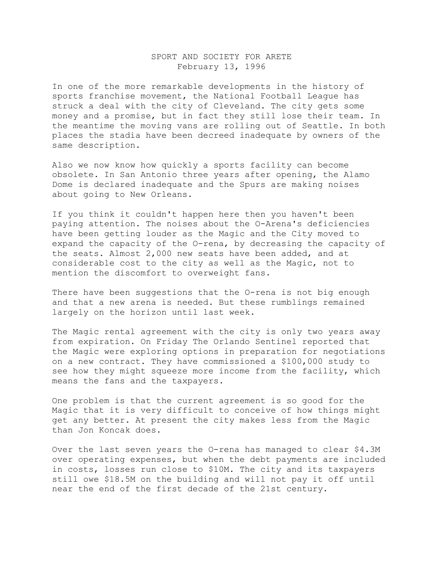## SPORT AND SOCIETY FOR ARETE February 13, 1996

In one of the more remarkable developments in the history of sports franchise movement, the National Football League has struck a deal with the city of Cleveland. The city gets some money and a promise, but in fact they still lose their team. In the meantime the moving vans are rolling out of Seattle. In both places the stadia have been decreed inadequate by owners of the same description.

Also we now know how quickly a sports facility can become obsolete. In San Antonio three years after opening, the Alamo Dome is declared inadequate and the Spurs are making noises about going to New Orleans.

If you think it couldn't happen here then you haven't been paying attention. The noises about the O-Arena's deficiencies have been getting louder as the Magic and the City moved to expand the capacity of the O-rena, by decreasing the capacity of the seats. Almost 2,000 new seats have been added, and at considerable cost to the city as well as the Magic, not to mention the discomfort to overweight fans.

There have been suggestions that the O-rena is not big enough and that a new arena is needed. But these rumblings remained largely on the horizon until last week.

The Magic rental agreement with the city is only two years away from expiration. On Friday The Orlando Sentinel reported that the Magic were exploring options in preparation for negotiations on a new contract. They have commissioned a \$100,000 study to see how they might squeeze more income from the facility, which means the fans and the taxpayers.

One problem is that the current agreement is so good for the Magic that it is very difficult to conceive of how things might get any better. At present the city makes less from the Magic than Jon Koncak does.

Over the last seven years the O-rena has managed to clear \$4.3M over operating expenses, but when the debt payments are included in costs, losses run close to \$10M. The city and its taxpayers still owe \$18.5M on the building and will not pay it off until near the end of the first decade of the 21st century.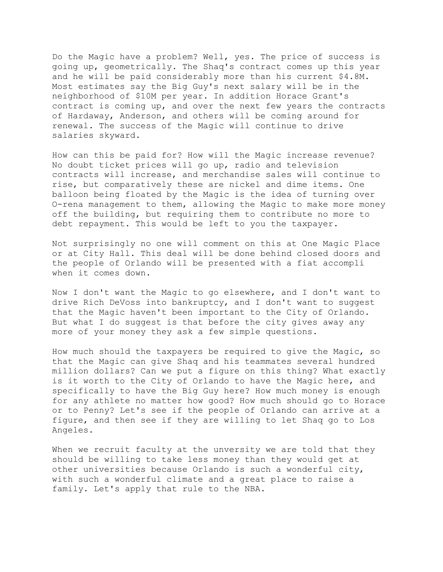Do the Magic have a problem? Well, yes. The price of success is going up, geometrically. The Shaq's contract comes up this year and he will be paid considerably more than his current \$4.8M. Most estimates say the Big Guy's next salary will be in the neighborhood of \$10M per year. In addition Horace Grant's contract is coming up, and over the next few years the contracts of Hardaway, Anderson, and others will be coming around for renewal. The success of the Magic will continue to drive salaries skyward.

How can this be paid for? How will the Magic increase revenue? No doubt ticket prices will go up, radio and television contracts will increase, and merchandise sales will continue to rise, but comparatively these are nickel and dime items. One balloon being floated by the Magic is the idea of turning over O-rena management to them, allowing the Magic to make more money off the building, but requiring them to contribute no more to debt repayment. This would be left to you the taxpayer.

Not surprisingly no one will comment on this at One Magic Place or at City Hall. This deal will be done behind closed doors and the people of Orlando will be presented with a fiat accompli when it comes down.

Now I don't want the Magic to go elsewhere, and I don't want to drive Rich DeVoss into bankruptcy, and I don't want to suggest that the Magic haven't been important to the City of Orlando. But what I do suggest is that before the city gives away any more of your money they ask a few simple questions.

How much should the taxpayers be required to give the Magic, so that the Magic can give Shaq and his teammates several hundred million dollars? Can we put a figure on this thing? What exactly is it worth to the City of Orlando to have the Magic here, and specifically to have the Big Guy here? How much money is enough for any athlete no matter how good? How much should go to Horace or to Penny? Let's see if the people of Orlando can arrive at a figure, and then see if they are willing to let Shaq go to Los Angeles.

When we recruit faculty at the unversity we are told that they should be willing to take less money than they would get at other universities because Orlando is such a wonderful city, with such a wonderful climate and a great place to raise a family. Let's apply that rule to the NBA.